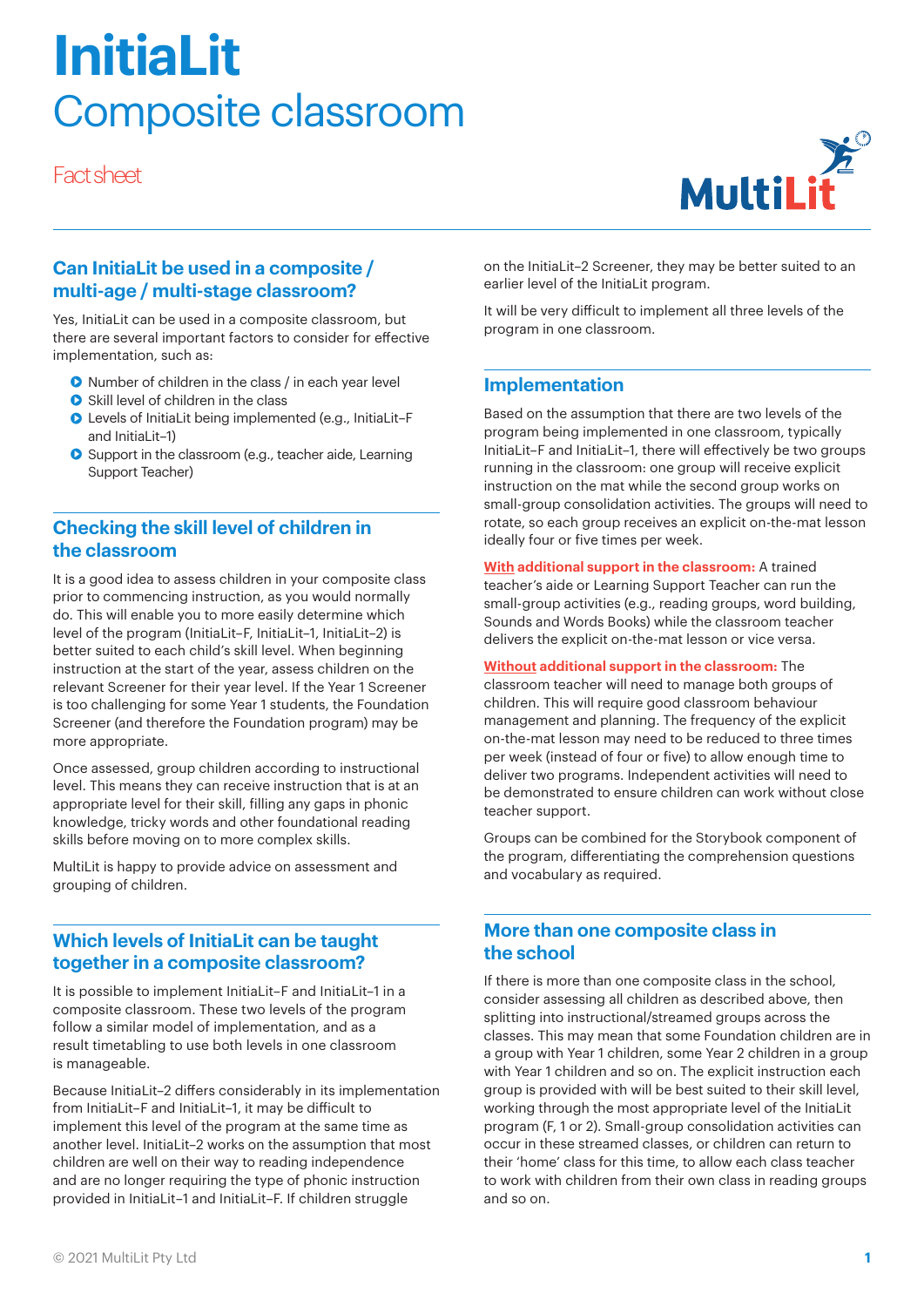# **InitiaLit**  Composite classroom

Fact sheet



## **Can InitiaLit be used in a composite / multi-age / multi-stage classroom?**

Yes, InitiaLit can be used in a composite classroom, but there are several important factors to consider for effective implementation, such as:

- **•** Number of children in the class / in each year level
- **•** Skill level of children in the class
- Levels of InitiaLit being implemented (e.g., InitiaLit–F and InitiaLit–1)
- **•** Support in the classroom (e.g., teacher aide, Learning Support Teacher)

# **Checking the skill level of children in the classroom**

It is a good idea to assess children in your composite class prior to commencing instruction, as you would normally do. This will enable you to more easily determine which level of the program (InitiaLit–F, InitiaLit–1, InitiaLit–2) is better suited to each child's skill level. When beginning instruction at the start of the year, assess children on the relevant Screener for their year level. If the Year 1 Screener is too challenging for some Year 1 students, the Foundation Screener (and therefore the Foundation program) may be more appropriate.

Once assessed, group children according to instructional level. This means they can receive instruction that is at an appropriate level for their skill, filling any gaps in phonic knowledge, tricky words and other foundational reading skills before moving on to more complex skills.

MultiLit is happy to provide advice on assessment and grouping of children.

## **Which levels of InitiaLit can be taught together in a composite classroom?**

It is possible to implement InitiaLit–F and InitiaLit–1 in a composite classroom. These two levels of the program follow a similar model of implementation, and as a result timetabling to use both levels in one classroom is manageable.

Because InitiaLit-2 differs considerably in its implementation from InitiaLit–F and InitiaLit–1, it may be difficult to implement this level of the program at the same time as another level. InitiaLit–2 works on the assumption that most children are well on their way to reading independence and are no longer requiring the type of phonic instruction provided in InitiaLit–1 and InitiaLit–F. If children struggle

on the InitiaLit–2 Screener, they may be better suited to an earlier level of the InitiaLit program.

It will be very difficult to implement all three levels of the program in one classroom.

## **Implementation**

Based on the assumption that there are two levels of the program being implemented in one classroom, typically InitiaLit-F and InitiaLit-1, there will effectively be two groups running in the classroom: one group will receive explicit instruction on the mat while the second group works on small-group consolidation activities. The groups will need to rotate, so each group receives an explicit on-the-mat lesson ideally four or five times per week.

**With additional support in the classroom:** A trained teacher's aide or Learning Support Teacher can run the small-group activities (e.g., reading groups, word building, Sounds and Words Books) while the classroom teacher delivers the explicit on-the-mat lesson or vice versa.

#### **Without additional support in the classroom:** The

classroom teacher will need to manage both groups of children. This will require good classroom behaviour management and planning. The frequency of the explicit on-the-mat lesson may need to be reduced to three times per week (instead of four or five) to allow enough time to deliver two programs. Independent activities will need to be demonstrated to ensure children can work without close teacher support.

Groups can be combined for the Storybook component of the program, differentiating the comprehension questions and vocabulary as required.

## **More than one composite class in the school**

If there is more than one composite class in the school, consider assessing all children as described above, then splitting into instructional/streamed groups across the classes. This may mean that some Foundation children are in a group with Year 1 children, some Year 2 children in a group with Year 1 children and so on. The explicit instruction each group is provided with will be best suited to their skill level, working through the most appropriate level of the InitiaLit program (F, 1 or 2). Small-group consolidation activities can occur in these streamed classes, or children can return to their 'home' class for this time, to allow each class teacher to work with children from their own class in reading groups and so on.